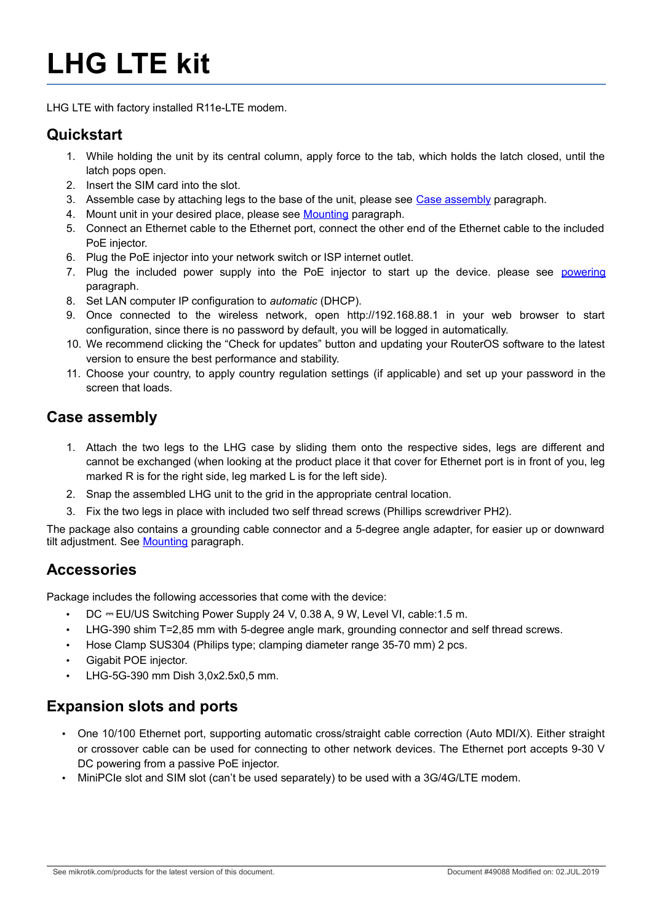# **LHG LTE kit**

LHG LTE with factory installed R11e-LTE modem.

### **Quickstart**

- 1. While holding the unit by its central column, apply force to the tab, which holds the latch closed, until the latch pops open.
- 2. Insert the SIM card into the slot.
- 3. Assemble case by attaching legs to the base of the unit, please see Case assembly paragraph.
- 4. Mount unit in your desired place, please see Mounting paragraph.
- 5. Connect an Ethernet cable to the Ethernet port, connect the other end of the Ethernet cable to the included PoE injector.
- 6. Plug the PoE injector into your network switch or ISP internet outlet.
- 7. Plug the included power supply into the PoE injector to start up the device. please see powering paragraph.
- 8. Set LAN computer IP configuration to *automatic* (DHCP).
- 9. Once connected to the wireless network, open http://192.168.88.1 in your web browser to start configuration, since there is no password by default, you will be logged in automatically.
- 10. We recommend clicking the "Check for updates" button and updating your RouterOS software to the latest version to ensure the best performance and stability.
- 11. Choose your country, to apply country regulation settings (if applicable) and set up your password in the screen that loads.

### **Case assembly**

- 1. Attach the two legs to the LHG case by sliding them onto the respective sides, legs are different and cannot be exchanged (when looking at the product place it that cover for Ethernet port is in front of you, leg marked R is for the right side, leg marked L is for the left side).
- 2. Snap the assembled LHG unit to the grid in the appropriate central location.
- 3. Fix the two legs in place with included two self thread screws (Phillips screwdriver PH2).

The package also contains a grounding cable connector and a 5-degree angle adapter, for easier up or downward tilt adjustment. See Mounting paragraph.

### **Accessories**

Package includes the following accessories that come with the device:

- DC = EU/US Switching Power Supply 24 V, 0.38 A, 9 W, Level VI, cable:1.5 m.
- LHG-390 shim T=2,85 mm with 5-degree angle mark, grounding connector and self thread screws.
- Hose Clamp SUS304 (Philips type; clamping diameter range 35-70 mm) 2 pcs.
- Gigabit POE injector.
- LHG-5G-390 mm Dish 3,0x2.5x0,5 mm.

### **Expansion slots and ports**

- One 10/100 Ethernet port, supporting automatic cross/straight cable correction (Auto MDI/X). Either straight or crossover cable can be used for connecting to other network devices. The Ethernet port accepts 9-30 V DC powering from a passive PoE injector.
- MiniPCIe slot and SIM slot (can't be used separately) to be used with a 3G/4G/LTE modem.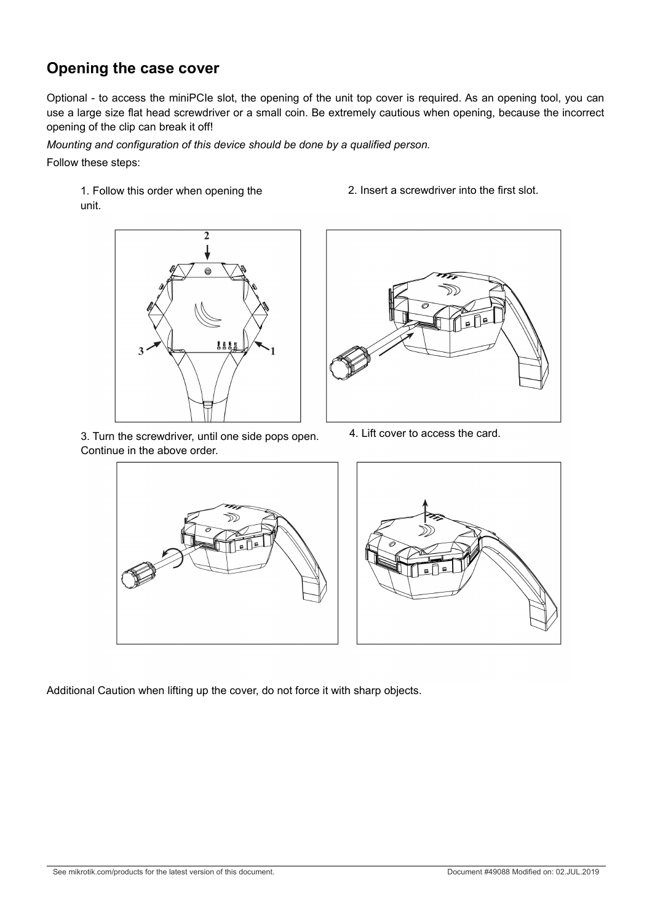### **Opening the case cover**

Optional - to access the miniPCIe slot, the opening of the unit top cover is required. As an opening tool, you can use a large size flat head screwdriver or a small coin. Be extremely cautious when opening, because the incorrect opening of the clip can break it off!

*Mounting and configuration of this device should be done by a qualified person.* Follow these steps:

1. Follow this order when opening the unit.



3. Turn the screwdriver, until one side pops open. Continue in the above order.

2. Insert a screwdriver into the first slot.



4. Lift cover to access the card.





Additional Caution when lifting up the cover, do not force it with sharp objects.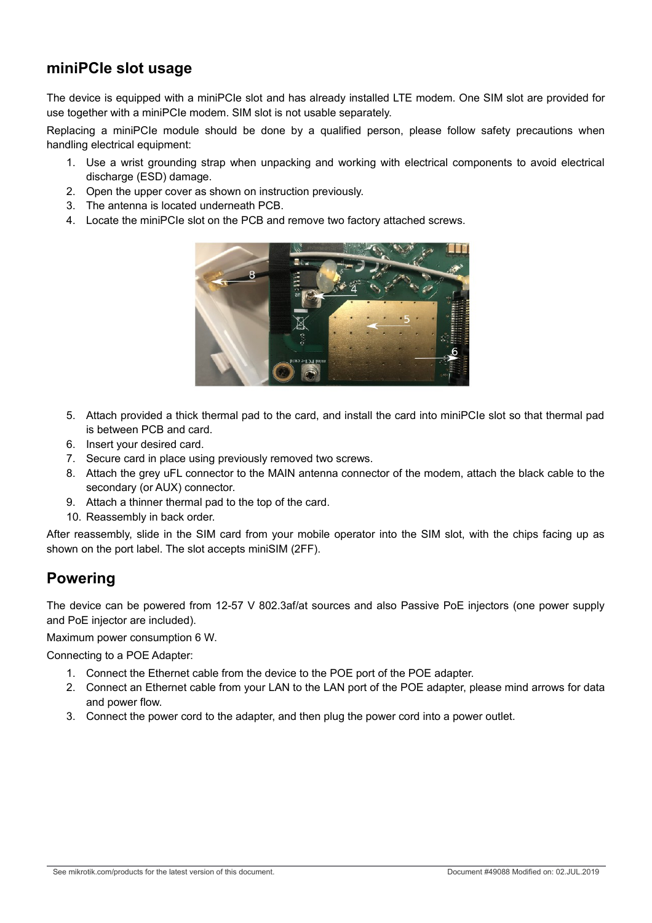### **miniPCIe slot usage**

The device is equipped with a miniPCIe slot and has already installed LTE modem. One SIM slot are provided for use together with a miniPCIe modem. SIM slot is not usable separately.

Replacing a miniPCIe module should be done by a qualified person, please follow safety precautions when handling electrical equipment:

- 1. Use a wrist grounding strap when unpacking and working with electrical components to avoid electrical discharge (ESD) damage.
- 2. Open the upper cover as shown on instruction previously.
- 3. The antenna is located underneath PCB.
- 4. Locate the miniPCIe slot on the PCB and remove two factory attached screws.



- 5. Attach provided a thick thermal pad to the card, and install the card into miniPCIe slot so that thermal pad is between PCB and card.
- 6. Insert your desired card.
- 7. Secure card in place using previously removed two screws.
- 8. Attach the grey uFL connector to the MAIN antenna connector of the modem, attach the black cable to the secondary (or AUX) connector.
- 9. Attach a thinner thermal pad to the top of the card.
- 10. Reassembly in back order.

After reassembly, slide in the SIM card from your mobile operator into the SIM slot, with the chips facing up as shown on the port label. The slot accepts miniSIM (2FF).

### **Powering**

The device can be powered from 12-57 V 802.3af/at sources and also Passive PoE injectors (one power supply and PoE injector are included).

Maximum power consumption 6 W.

Connecting to a POE Adapter:

- 1. Connect the Ethernet cable from the device to the POE port of the POE adapter.
- 2. Connect an Ethernet cable from your LAN to the LAN port of the POE adapter, please mind arrows for data and power flow.
- 3. Connect the power cord to the adapter, and then plug the power cord into a power outlet.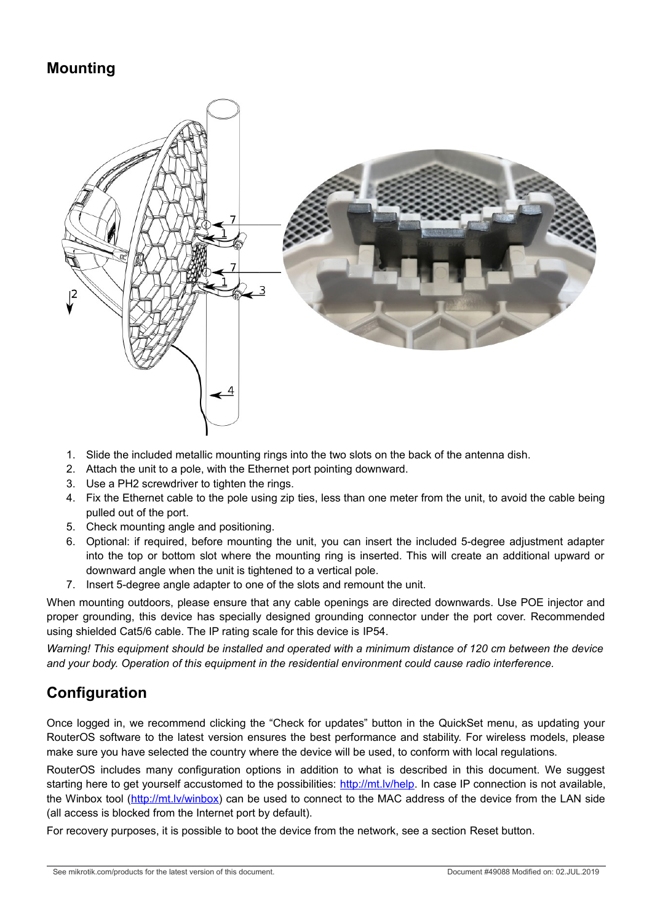### **Mounting**



- 1. Slide the included metallic mounting rings into the two slots on the back of the antenna dish.
- 2. Attach the unit to a pole, with the Ethernet port pointing downward.
- 3. Use a PH2 screwdriver to tighten the rings.
- 4. Fix the Ethernet cable to the pole using zip ties, less than one meter from the unit, to avoid the cable being pulled out of the port.
- 5. Check mounting angle and positioning.
- 6. Optional: if required, before mounting the unit, you can insert the included 5-degree adjustment adapter into the top or bottom slot where the mounting ring is inserted. This will create an additional upward or downward angle when the unit is tightened to a vertical pole.
- 7. Insert 5-degree angle adapter to one of the slots and remount the unit.

When mounting outdoors, please ensure that any cable openings are directed downwards. Use POE injector and proper grounding, this device has specially designed grounding connector under the port cover. Recommended using shielded Cat5/6 cable. The IP rating scale for this device is IP54.

*Warning! This equipment should be installed and operated with a minimum distance of 120 cm between the device and your body. Operation of this equipment in the residential environment could cause radio interference.*

# **Configuration**

Once logged in, we recommend clicking the "Check for updates" button in the QuickSet menu, as updating your RouterOS software to the latest version ensures the best performance and stability. For wireless models, please make sure you have selected the country where the device will be used, to conform with local regulations.

RouterOS includes many configuration options in addition to what is described in this document. We suggest starting here to get yourself accustomed to the possibilities: http://mt.lv/help. In case IP connection is not available, the Winbox tool (http://mt.lv/winbox) can be used to connect to the MAC address of the device from the LAN side (all access is blocked from the Internet port by default).

For recovery purposes, it is possible to boot the device from the network, see a section Reset button.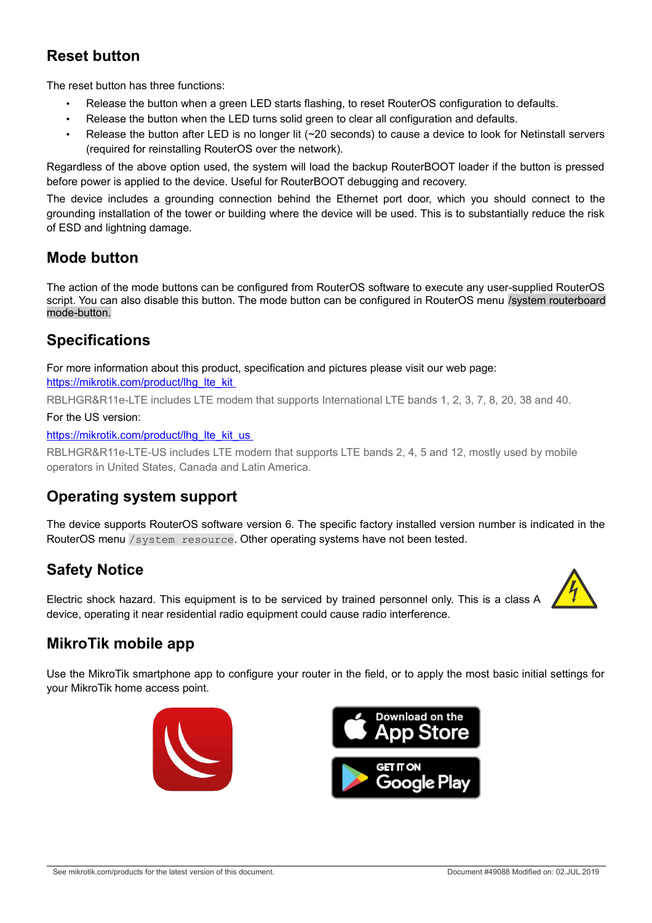# **Reset button**

The reset button has three functions:

- Release the button when a green LED starts flashing, to reset RouterOS configuration to defaults.
- Release the button when the LED turns solid green to clear all configuration and defaults.
- Release the button after LED is no longer lit (~20 seconds) to cause a device to look for Netinstall servers (required for reinstalling RouterOS over the network).

Regardless of the above option used, the system will load the backup RouterBOOT loader if the button is pressed before power is applied to the device. Useful for RouterBOOT debugging and recovery.

The device includes a grounding connection behind the Ethernet port door, which you should connect to the grounding installation of the tower or building where the device will be used. This is to substantially reduce the risk of ESD and lightning damage.

### **Mode button**

The action of the mode buttons can be configured from RouterOS software to execute any user-supplied RouterOS script. You can also disable this button. The mode button can be configured in RouterOS menu /system routerboard mode-button.

### **Specifications**

For more information about this product, specification and pictures please visit our web page: https://mikrotik.com/product/lhq lte kit

RBLHGR&R11e-LTE includes LTE modem that supports International LTE bands 1, 2, 3, 7, 8, 20, 38 and 40.

### For the US version:

https://mikrotik.com/product/lhg\_lte\_kit\_us\_

RBLHGR&R11e-LTE-US includes LTE modem that supports LTE bands 2, 4, 5 and 12, mostly used by mobile operators in United States, Canada and Latin America.

### **Operating system support**

The device supports RouterOS software version 6. The specific factory installed version number is indicated in the RouterOS menu /system resource. Other operating systems have not been tested.

# **Safety Notice**

Electric shock hazard. This equipment is to be serviced by trained personnel only. This is a class A device, operating it near residential radio equipment could cause radio interference.



# **MikroTik mobile app**

Use the MikroTik smartphone app to configure your router in the field, or to apply the most basic initial settings for your MikroTik home access point.



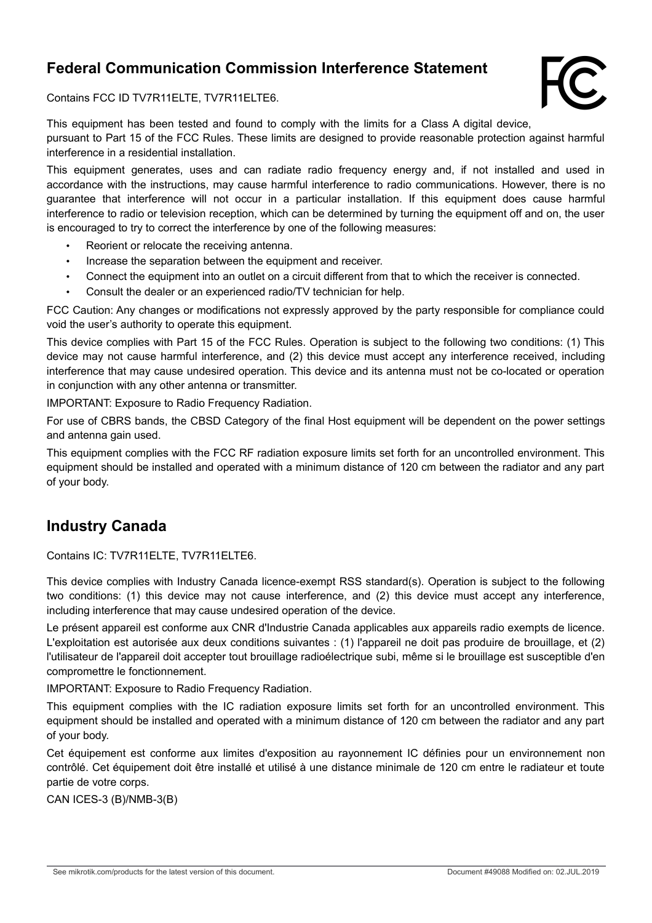# **Federal Communication Commission Interference Statement**



Contains FCC ID TV7R11ELTE, TV7R11ELTE6.

This equipment has been tested and found to comply with the limits for a Class A digital device, pursuant to Part 15 of the FCC Rules. These limits are designed to provide reasonable protection against harmful interference in a residential installation.

This equipment generates, uses and can radiate radio frequency energy and, if not installed and used in accordance with the instructions, may cause harmful interference to radio communications. However, there is no guarantee that interference will not occur in a particular installation. If this equipment does cause harmful interference to radio or television reception, which can be determined by turning the equipment off and on, the user is encouraged to try to correct the interference by one of the following measures:

- Reorient or relocate the receiving antenna.
- Increase the separation between the equipment and receiver.
- Connect the equipment into an outlet on a circuit different from that to which the receiver is connected.
- Consult the dealer or an experienced radio/TV technician for help.

FCC Caution: Any changes or modifications not expressly approved by the party responsible for compliance could void the user's authority to operate this equipment.

This device complies with Part 15 of the FCC Rules. Operation is subject to the following two conditions: (1) This device may not cause harmful interference, and (2) this device must accept any interference received, including interference that may cause undesired operation. This device and its antenna must not be co-located or operation in conjunction with any other antenna or transmitter.

IMPORTANT: Exposure to Radio Frequency Radiation.

For use of CBRS bands, the CBSD Category of the final Host equipment will be dependent on the power settings and antenna gain used.

This equipment complies with the FCC RF radiation exposure limits set forth for an uncontrolled environment. This equipment should be installed and operated with a minimum distance of 120 cm between the radiator and any part of your body.

### **Industry Canada**

Contains IC: TV7R11ELTE, TV7R11ELTE6.

This device complies with Industry Canada licence-exempt RSS standard(s). Operation is subject to the following two conditions: (1) this device may not cause interference, and (2) this device must accept any interference, including interference that may cause undesired operation of the device.

Le présent appareil est conforme aux CNR d'Industrie Canada applicables aux appareils radio exempts de licence. L'exploitation est autorisée aux deux conditions suivantes : (1) l'appareil ne doit pas produire de brouillage, et (2) l'utilisateur de l'appareil doit accepter tout brouillage radioélectrique subi, même si le brouillage est susceptible d'en compromettre le fonctionnement.

IMPORTANT: Exposure to Radio Frequency Radiation.

This equipment complies with the IC radiation exposure limits set forth for an uncontrolled environment. This equipment should be installed and operated with a minimum distance of 120 cm between the radiator and any part of your body.

Cet équipement est conforme aux limites d'exposition au rayonnement IC définies pour un environnement non contrôlé. Cet équipement doit être installé et utilisé à une distance minimale de 120 cm entre le radiateur et toute partie de votre corps.

CAN ICES-3 (B)/NMB-3(B)

See mikrotik.com/products for the latest version of this document. Document #49088 Modified on: 02.JUL.2019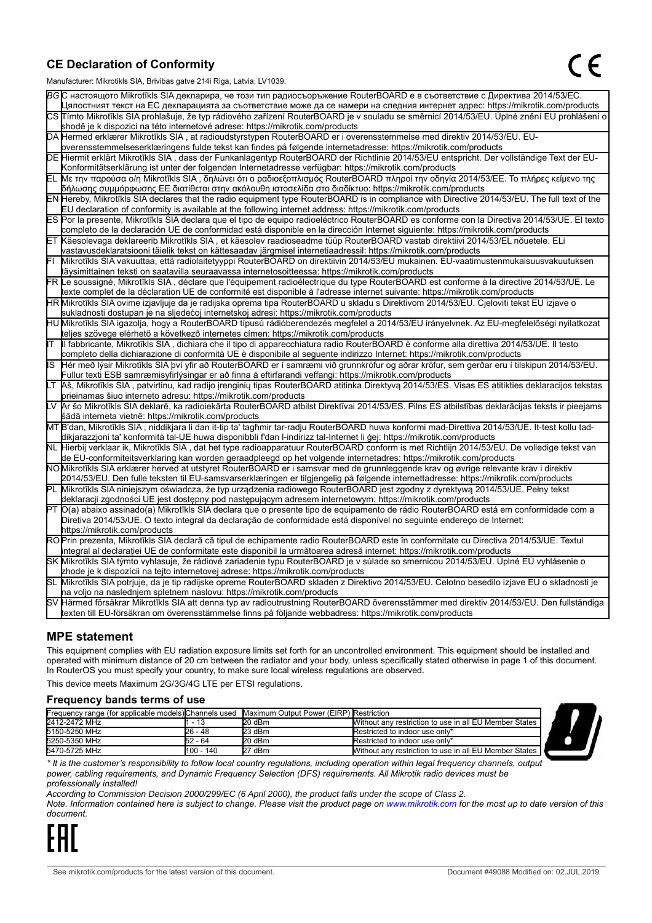### **CE Declaration of Conformity**

Manufacturer: Mikrotikls SIA, Brivibas gatve 214i Riga, Latvia, LV1039.

|    | $m$ ananaolaici. Mintrolinto Oli I, Dirvibao galvo Z i-ri i tiga, Latvia, Lv 1000                                                                                                                                                                |
|----|--------------------------------------------------------------------------------------------------------------------------------------------------------------------------------------------------------------------------------------------------|
|    | ВСС настоящото Mikrotīkls SIA декларира, че този тип радиосъоръжение RouterBOARD е в съответствие с Директива 2014/53/ЕС.                                                                                                                        |
|    | Цялостният текст на ЕС декларацията за съответствие може да се намери на следния интернет адрес: https://mikrotik.com/products                                                                                                                   |
|    | CS Tímto Mikrotīkls SIA prohlašuje, že typ rádiového zařízení RouterBOARD je v souladu se směrnicí 2014/53/EU. Úplné znění EU prohlášení o                                                                                                       |
|    | shodě je k dispozici na této internetové adrese: https://mikrotik.com/products                                                                                                                                                                   |
|    | DA Hermed erklærer Mikrotīkls SIA, at radioudstyrstypen RouterBOARD er i overensstemmelse med direktiv 2014/53/EU. EU-                                                                                                                           |
|    | overensstemmelseserklæringens fulde tekst kan findes på følgende internetadresse: https://mikrotik.com/products                                                                                                                                  |
|    | DE Hiermit erklärt Mikrotīkls SIA, dass der Funkanlagentyp RouterBOARD der Richtlinie 2014/53/EU entspricht. Der vollständige Text der EU-                                                                                                       |
|    | Konformitätserklärung ist unter der folgenden Internetadresse verfügbar: https://mikrotik.com/products                                                                                                                                           |
|    | ΕL Με την παρούσα ο/η Mikrotīkls SIA , δηλώνει ότι ο ραδιοεξοπλισμός RouterBOARD πληροί την οδηγία 2014/53/ΕΕ. Το πλήρες κείμενο της<br> δήλωσης συμμόρφωσης ΕΕ διατίθεται στην ακόλουθη ιστοσελίδα στο διαδίκτυο: https://mikrotik.com/products |
|    | EN Hereby, Mikrotīkls SIA declares that the radio equipment type RouterBOARD is in compliance with Directive 2014/53/EU. The full text of the                                                                                                    |
|    | EU declaration of conformity is available at the following internet address: https://mikrotik.com/products                                                                                                                                       |
|    | ES Por la presente, Mikrotīkls SIA declara que el tipo de equipo radioeléctrico RouterBOARD es conforme con la Directiva 2014/53/UE. El texto                                                                                                    |
|    | completo de la declaración UE de conformidad está disponible en la dirección Internet siguiente: https://mikrotik.com/products                                                                                                                   |
|    | ET Käesolevaga deklareerib Mikrotīkls SIA, et käesolev raadioseadme tüüp RouterBOARD vastab direktiivi 2014/53/EL nõuetele. ELi                                                                                                                  |
|    | vastavusdeklaratsiooni täielik tekst on kättesaadav järgmisel internetiaadressil: https://mikrotik.com/products                                                                                                                                  |
|    | Mikrotīkls SIA vakuuttaa, että radiolaitetyyppi RouterBOARD on direktiivin 2014/53/EU mukainen. EU-vaatimustenmukaisuusvakuutuksen                                                                                                               |
|    | täysimittainen teksti on saatavilla seuraavassa internetosoitteessa: https://mikrotik.com/products                                                                                                                                               |
|    | FR Le soussigné, Mikrotīkls SIA, déclare que l'équipement radioélectrique du type RouterBOARD est conforme à la directive 2014/53/UE. Le                                                                                                         |
|    | texte complet de la déclaration UE de conformité est disponible à l'adresse internet suivante: https://mikrotik.com/products                                                                                                                     |
|    | HR Mikrotīkls SIA ovime izjavljuje da je radijska oprema tipa RouterBOARD u skladu s Direktivom 2014/53/EU. Cjeloviti tekst EU izjave o                                                                                                          |
|    | sukladnosti dostupan je na sljedećoj internetskoj adresi: https://mikrotik.com/products                                                                                                                                                          |
|    | HU Mikrotīkls SIA igazolja, hogy a RouterBOARD típusú rádióberendezés megfelel a 2014/53/EU irányelvnek. Az EU-megfelelőségi nyilatkozat                                                                                                         |
|    | teljes szövege elérhető a következő internetes címen: https://mikrotik.com/products                                                                                                                                                              |
| lΤ | Il fabbricante, Mikrotīkls SIA, dichiara che il tipo di apparecchiatura radio RouterBOARD è conforme alla direttiva 2014/53/UE. Il testo                                                                                                         |
|    | completo della dichiarazione di conformità UE è disponibile al seguente indirizzo Internet: https://mikrotik.com/products                                                                                                                        |
| IS | Hér með lýsir Mikrotīkls SIA því yfir að RouterBOARD er í samræmi við grunnkröfur og aðrar kröfur, sem gerðar eru í tilskipun 2014/53/EU.                                                                                                        |
|    | Fullur texti ESB samræmisyfirlýsingar er að finna á eftirfarandi veffangi: https://mikrotik.com/products                                                                                                                                         |
| LТ | Aš, Mikrotīkls SIA, patvirtinu, kad radijo įrenginių tipas RouterBOARD atitinka Direktyvą 2014/53/ES. Visas ES atitikties deklaracijos tekstas                                                                                                   |
|    | prieinamas šiuo interneto adresu: https://mikrotik.com/products                                                                                                                                                                                  |
|    | Ar šo Mikrotīkls SIA deklarē, ka radioiekārta RouterBOARD atbilst Direktīvai 2014/53/ES. Pilns ES atbilstības deklarācijas teksts ir pieejams                                                                                                    |
|    | šādā interneta vietnē: https://mikrotik.com/products                                                                                                                                                                                             |
|    | MT B'dan, Mikrotīkls SIA, niddikjara li dan it-tip ta' tagħmir tar-radju RouterBOARD huwa konformi mad-Direttiva 2014/53/UE. It-test kollu tad-                                                                                                  |
|    | dikjarazzjoni ta' konformità tal-UE huwa disponibbli f'dan l-indirizz tal-Internet li ġej: https://mikrotik.com/products                                                                                                                         |
|    | NL Hierbij verklaar ik, Mikrotīkls SIA , dat het type radioapparatuur RouterBOARD conform is met Richtlijn 2014/53/EU. De volledige tekst van                                                                                                    |
|    | de EU-conformiteitsverklaring kan worden geraadpleegd op het volgende internetadres: https://mikrotik.com/products                                                                                                                               |
|    | NOMikrotīkls SIA erklærer herved at utstyret RouterBOARD er i samsvar med de grunnleggende krav og øvrige relevante krav i direktiv                                                                                                              |
|    | 2014/53/EU. Den fulle teksten til EU-samsvarserklæringen er tilgjengelig på følgende internettadresse: https://mikrotik.com/products                                                                                                             |
|    | PL Mikrotīkls SIA niniejszym oświadcza, że typ urządzenia radiowego RouterBOARD jest zgodny z dyrektywą 2014/53/UE. Pełny tekst                                                                                                                  |
|    | deklaracji zgodności UE jest dostępny pod następującym adresem internetowym: https://mikrotik.com/products                                                                                                                                       |
|    | PT O(a) abaixo assinado(a) Mikrotīkls SIA declara que o presente tipo de equipamento de rádio RouterBOARD está em conformidade com a                                                                                                             |
|    | Diretiva 2014/53/UE. O texto integral da declaração de conformidade está disponível no seguinte endereço de Internet:                                                                                                                            |
|    | https://mikrotik.com/products                                                                                                                                                                                                                    |
|    | ROPrin prezenta, Mikrotīkls SIA declară că tipul de echipamente radio RouterBOARD este în conformitate cu Directiva 2014/53/UE. Textul                                                                                                           |
|    | integral al declaratiei UE de conformitate este disponibil la următoarea adresă internet: https://mikrotik.com/products                                                                                                                          |
|    | SK Mikrotīkls SIA týmto vyhlasuje, že rádiové zariadenie typu RouterBOARD je v súlade so smernicou 2014/53/EÚ. Úplné EÚ vyhlásenie o                                                                                                             |
|    | zhode je k dispozícii na tejto internetovej adrese: https://mikrotik.com/products                                                                                                                                                                |
|    | SL Mikrotīkls SIA potrjuje, da je tip radijske opreme RouterBOARD skladen z Direktivo 2014/53/EU. Celotno besedilo izjave EU o skladnosti je                                                                                                     |
|    | na voljo na naslednjem spletnem naslovu: https://mikrotik.com/products                                                                                                                                                                           |
|    | SV Härmed försäkrar Mikrotīkls SIA att denna typ av radioutrustning RouterBOARD överensstämmer med direktiv 2014/53/EU. Den fullständiga                                                                                                         |
|    | texten till EU-försäkran om överensstämmelse finns på följande webbadress: https://mikrotik.com/products                                                                                                                                         |

### **MPE statement**

This equipment complies with EU radiation exposure limits set forth for an uncontrolled environment. This equipment should be installed and operated with minimum distance of 20 cm between the radiator and your body, unless specifically stated otherwise in page 1 of this document. In RouterOS you must specify your country, to make sure local wireless regulations are observed.

This device meets Maximum 2G/3G/4G LTE per ETSI regulations.

#### **Frequency bands terms of use**

|               |  |            | Frequency range (for applicable models) Channels used Maximum Output Power (EIRP) Restriction |                                                        |  |
|---------------|--|------------|-----------------------------------------------------------------------------------------------|--------------------------------------------------------|--|
| 2412-2472 MHz |  | $-13$      | 20 dBm                                                                                        | Without any restriction to use in all EU Member States |  |
| 5150-5250 MHz |  | $26 - 48$  | 23 dBm                                                                                        | Restricted to indoor use only*                         |  |
| 5250-5350 MHz |  | $52 - 64$  | $20$ dBm                                                                                      | Restricted to indoor use only*                         |  |
| 5470-5725 MHz |  | 1100 - 140 | 27 dBm                                                                                        | Mithout any restriction to use in all EU Member States |  |

*\* It is the customer's responsibility to follow local country regulations, including operation within legal frequency channels, output power, cabling requirements, and Dynamic Frequency Selection (DFS) requirements. All Mikrotik radio devices must be professionally installed!*

*According to Commission Decision 2000/299/EC (6 April 2000), the product falls under the scope of Class 2.*

*Note. Information contained here is subject to change. Please visit the product page on www.mikrotik.com for the most up to date version of this document.*